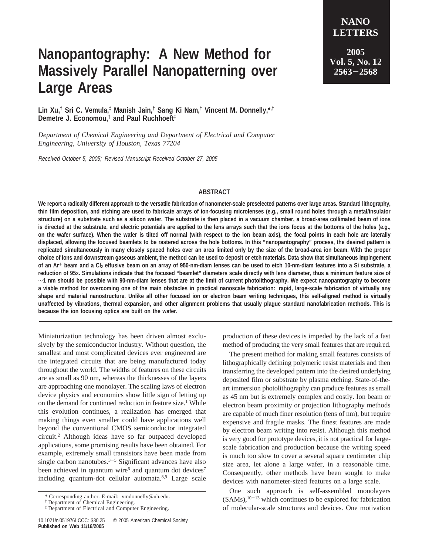## **Nanopantography: A New Method for Massively Parallel Nanopatterning over Large Areas**

**LETTERS 2005 Vol. 5, No. 12 <sup>2563</sup>**-**<sup>2568</sup>**

**NANO**

**Lin Xu,† Sri C. Vemula,‡ Manish Jain,† Sang Ki Nam,† Vincent M. Donnelly,\*,† Demetre J. Economou,† and Paul Ruchhoeft‡**

*Department of Chemical Engineering and Department of Electrical and Computer Engineering, Uni*V*ersity of Houston, Texas 77204*

Received October 5, 2005; Revised Manuscript Received October 27, 2005

## **ABSTRACT**

**We report a radically different approach to the versatile fabrication of nanometer-scale preselected patterns over large areas. Standard lithography, thin film deposition, and etching are used to fabricate arrays of ion-focusing microlenses (e.g., small round holes through a metal/insulator structure) on a substrate such as a silicon wafer. The substrate is then placed in a vacuum chamber, a broad-area collimated beam of ions is directed at the substrate, and electric potentials are applied to the lens arrays such that the ions focus at the bottoms of the holes (e.g., on the wafer surface). When the wafer is tilted off normal (with respect to the ion beam axis), the focal points in each hole are laterally displaced, allowing the focused beamlets to be rastered across the hole bottoms. In this "nanopantography" process, the desired pattern is replicated simultaneously in many closely spaced holes over an area limited only by the size of the broad-area ion beam. With the proper choice of ions and downstream gaseous ambient, the method can be used to deposit or etch materials. Data show that simultaneous impingement of an Ar**<sup>+</sup> **beam and a Cl2 effusive beam on an array of 950-nm-diam lenses can be used to etch 10-nm-diam features into a Si substrate, a reduction of 95x. Simulations indicate that the focused "beamlet" diameters scale directly with lens diameter, thus a minimum feature size of** ∼**1 nm should be possible with 90-nm-diam lenses that are at the limit of current photolithography. We expect nanopantography to become a viable method for overcoming one of the main obstacles in practical nanoscale fabrication: rapid, large-scale fabrication of virtually any shape and material nanostructure. Unlike all other focused ion or electron beam writing techniques, this self-aligned method is virtually unaffected by vibrations, thermal expansion, and other alignment problems that usually plague standard nanofabrication methods. This is because the ion focusing optics are built on the wafer.**

Miniaturization technology has been driven almost exclusively by the semiconductor industry. Without question, the smallest and most complicated devices ever engineered are the integrated circuits that are being manufactured today throughout the world. The widths of features on these circuits are as small as 90 nm, whereas the thicknesses of the layers are approaching one monolayer. The scaling laws of electron device physics and economics show little sign of letting up on the demand for continued reduction in feature size.<sup>1</sup> While this evolution continues, a realization has emerged that making things even smaller could have applications well beyond the conventional CMOS semiconductor integrated circuit.2 Although ideas have so far outpaced developed applications, some promising results have been obtained. For example, extremely small transistors have been made from single carbon nanotubes. $3-5$  Significant advances have also been achieved in quantum wire<sup>6</sup> and quantum dot devices<sup>7</sup> including quantum-dot cellular automata.<sup>8,9</sup> Large scale

production of these devices is impeded by the lack of a fast method of producing the very small features that are required.

The present method for making small features consists of lithographically defining polymeric resist materials and then transferring the developed pattern into the desired underlying deposited film or substrate by plasma etching. State-of-theart immersion photolithography can produce features as small as 45 nm but is extremely complex and costly. Ion beam or electron beam proximity or projection lithography methods are capable of much finer resolution (tens of nm), but require expensive and fragile masks. The finest features are made by electron beam writing into resist. Although this method is very good for prototype devices, it is not practical for largescale fabrication and production because the writing speed is much too slow to cover a several square centimeter chip size area, let alone a large wafer, in a reasonable time. Consequently, other methods have been sought to make devices with nanometer-sized features on a large scale.

One such approach is self-assembled monolayers  $(SAMs)$ ,  $10-13$  which continues to be explored for fabrication of molecular-scale structures and devices. One motivation

<sup>\*</sup> Corresponding author. E-mail: vmdonnelly@uh.edu.

<sup>†</sup> Department of Chemical Engineering.

<sup>‡</sup> Department of Electrical and Computer Engineering.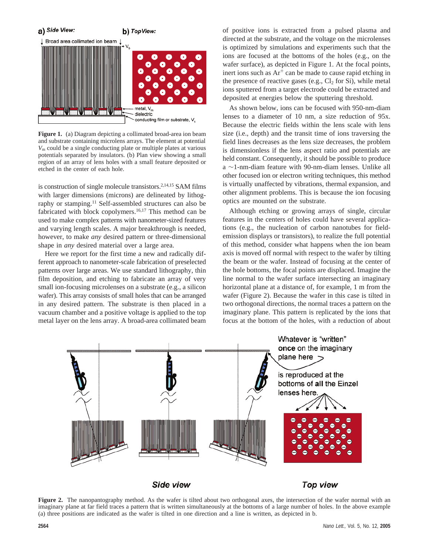

Figure 1. (a) Diagram depicting a collimated broad-area ion beam and substrate containing microlens arrays. The element at potential *V*<sup>m</sup> could be a single conducting plate or multiple plates at various potentials separated by insulators. (b) Plan view showing a small region of an array of lens holes with a small feature deposited or etched in the center of each hole.

is construction of single molecule transistors.<sup>2,14,15</sup> SAM films with larger dimensions (microns) are delineated by lithography or stamping.11 Self-assembled structures can also be fabricated with block copolymers.<sup>16,17</sup> This method can be used to make complex patterns with nanometer-sized features and varying length scales. A major breakthrough is needed, however, to make *any* desired pattern or three-dimensional shape in *any* desired material over a large area.

Here we report for the first time a new and radically different approach to nanometer-scale fabrication of preselected patterns over large areas. We use standard lithography, thin film deposition, and etching to fabricate an array of very small ion-focusing microlenses on a substrate (e.g., a silicon wafer). This array consists of small holes that can be arranged in any desired pattern. The substrate is then placed in a vacuum chamber and a positive voltage is applied to the top metal layer on the lens array. A broad-area collimated beam

of positive ions is extracted from a pulsed plasma and directed at the substrate, and the voltage on the microlenses is optimized by simulations and experiments such that the ions are focused at the bottoms of the holes (e.g., on the wafer surface), as depicted in Figure 1. At the focal points, inert ions such as  $Ar<sup>+</sup>$  can be made to cause rapid etching in the presence of reactive gases (e.g.,  $Cl_2$  for Si), while metal ions sputtered from a target electrode could be extracted and deposited at energies below the sputtering threshold.

As shown below, ions can be focused with 950-nm-diam lenses to a diameter of 10 nm, a size reduction of 95x. Because the electric fields within the lens scale with lens size (i.e., depth) and the transit time of ions traversing the field lines decreases as the lens size decreases, the problem is dimensionless if the lens aspect ratio and potentials are held constant. Consequently, it should be possible to produce a ∼1-nm-diam feature with 90-nm-diam lenses. Unlike all other focused ion or electron writing techniques, this method is virtually unaffected by vibrations, thermal expansion, and other alignment problems. This is because the ion focusing optics are mounted *on* the substrate.

Although etching or growing arrays of single, circular features in the centers of holes could have several applications (e.g., the nucleation of carbon nanotubes for fieldemission displays or transistors), to realize the full potential of this method, consider what happens when the ion beam axis is moved off normal with respect to the wafer by tilting the beam or the wafer. Instead of focusing at the center of the hole bottoms, the focal points are displaced. Imagine the line normal to the wafer surface intersecting an imaginary horizontal plane at a distance of, for example, 1 m from the wafer (Figure 2). Because the wafer in this case is tilted in two orthogonal directions, the normal traces a pattern on the imaginary plane. This pattern is replicated by the ions that focus at the bottom of the holes, with a reduction of about



Figure 2. The nanopantography method. As the wafer is tilted about two orthogonal axes, the intersection of the wafer normal with an imaginary plane at far field traces a pattern that is written simultaneously at the bottoms of a large number of holes. In the above example (a) three positions are indicated as the wafer is tilted in one direction and a line is written, as depicted in b.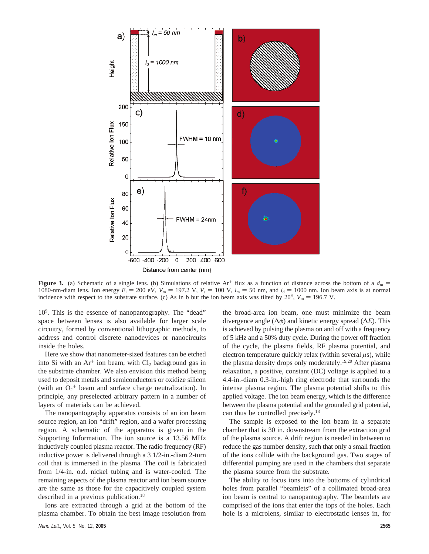

**Figure 3.** (a) Schematic of a single lens. (b) Simulations of relative Ar<sup>+</sup> flux as a function of distance across the bottom of a  $d<sub>m</sub>$  = 1080-nm-diam lens. Ion energy  $E_i = 200 \text{ eV}$ ,  $V_m = 197.2 \text{ V}$ ,  $V_s = 100 \text{ V}$ ,  $l_m = 50 \text{ nm}$ , and  $l_d = 1000 \text{ nm}$ . Ion beam axis is at normal incidence with respect to the substrate surface. (c) As in b but the ion beam axis was tilted by 20 $^{\circ}$ ,  $V_m = 196.7$  V.

109. This is the essence of nanopantography. The "dead" space between lenses is also available for larger scale circuitry, formed by conventional lithographic methods, to address and control discrete nanodevices or nanocircuits inside the holes.

Here we show that nanometer-sized features can be etched into Si with an  $Ar^+$  ion beam, with  $Cl_2$  background gas in the substrate chamber. We also envision this method being used to deposit metals and semiconductors or oxidize silicon (with an  $O_2$ <sup>+</sup> beam and surface charge neutralization). In principle, any preselected arbitrary pattern in a number of layers of materials can be achieved.

The nanopantography apparatus consists of an ion beam source region, an ion "drift" region, and a wafer processing region. A schematic of the apparatus is given in the Supporting Information. The ion source is a 13.56 MHz inductively coupled plasma reactor. The radio frequency (RF) inductive power is delivered through a 3 1/2-in.-diam 2-turn coil that is immersed in the plasma. The coil is fabricated from 1/4-in. o.d. nickel tubing and is water-cooled. The remaining aspects of the plasma reactor and ion beam source are the same as those for the capacitively coupled system described in a previous publication.<sup>18</sup>

Ions are extracted through a grid at the bottom of the plasma chamber. To obtain the best image resolution from the broad-area ion beam, one must minimize the beam divergence angle (∆*φ*) and kinetic energy spread (∆*E*). This is achieved by pulsing the plasma on and off with a frequency of 5 kHz and a 50% duty cycle. During the power off fraction of the cycle, the plasma fields, RF plasma potential, and electron temperature quickly relax (within several *µ*s), while the plasma density drops only moderately.19,20 After plasma relaxation, a positive, constant (DC) voltage is applied to a 4.4-in.-diam 0.3-in.-high ring electrode that surrounds the intense plasma region. The plasma potential shifts to this applied voltage. The ion beam energy, which is the difference between the plasma potential and the grounded grid potential, can thus be controlled precisely.18

The sample is exposed to the ion beam in a separate chamber that is 30 in. downstream from the extraction grid of the plasma source. A drift region is needed in between to reduce the gas number density, such that only a small fraction of the ions collide with the background gas. Two stages of differential pumping are used in the chambers that separate the plasma source from the substrate.

The ability to focus ions into the bottoms of cylindrical holes from parallel "beamlets" of a collimated broad-area ion beam is central to nanopantography. The beamlets are comprised of the ions that enter the tops of the holes. Each hole is a microlens, similar to electrostatic lenses in, for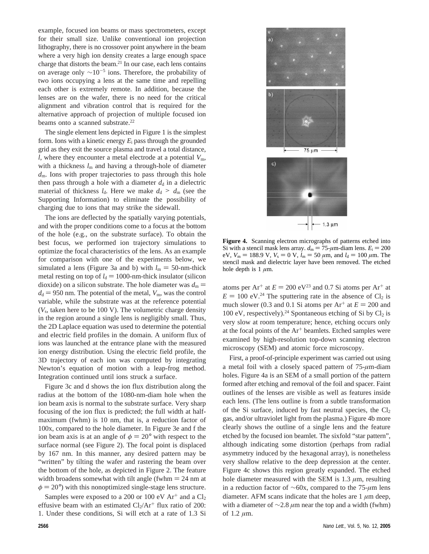example, focused ion beams or mass spectrometers, except for their small size. Unlike conventional ion projection lithography, there is no crossover point anywhere in the beam where a very high ion density creates a large enough space charge that distorts the beam. $21$  In our case, each lens contains on average only  $\sim 10^{-5}$  ions. Therefore, the probability of two ions occupying a lens at the same time and repelling each other is extremely remote. In addition, because the lenses are on the wafer, there is no need for the critical alignment and vibration control that is required for the alternative approach of projection of multiple focused ion beams onto a scanned substrate.<sup>22</sup>

The single element lens depicted in Figure 1 is the simplest form. Ions with a kinetic energy *E*<sup>i</sup> pass through the grounded grid as they exit the source plasma and travel a total distance, *l*, where they encounter a metal electrode at a potential  $V_m$ , with a thickness  $l_m$  and having a through-hole of diameter *d*m. Ions with proper trajectories to pass through this hole then pass through a hole with a diameter  $d_d$  in a dielectric material of thickness  $l_d$ . Here we make  $d_d > d_m$  (see the Supporting Information) to eliminate the possibility of charging due to ions that may strike the sidewall.

The ions are deflected by the spatially varying potentials, and with the proper conditions come to a focus at the bottom of the hole (e.g., on the substrate surface). To obtain the best focus, we performed ion trajectory simulations to optimize the focal characteristics of the lens. As an example for comparison with one of the experiments below, we simulated a lens (Figure 3a and b) with  $l_m = 50$ -nm-thick metal resting on top of  $l_d$  = 1000-nm-thick insulator (silicon dioxide) on a silicon substrate. The hole diameter was  $d_m =$  $d_d$  = 950 nm. The potential of the metal,  $V_m$ , was the control variable, while the substrate was at the reference potential (*V*s, taken here to be 100 V). The volumetric charge density in the region around a single lens is negligibly small. Thus, the 2D Laplace equation was used to determine the potential and electric field profiles in the domain. A uniform flux of ions was launched at the entrance plane with the measured ion energy distribution. Using the electric field profile, the 3D trajectory of each ion was computed by integrating Newton's equation of motion with a leap-frog method. Integration continued until ions struck a surface.

Figure 3c and d shows the ion flux distribution along the radius at the bottom of the 1080-nm-diam hole when the ion beam axis is normal to the substrate surface. Very sharp focusing of the ion flux is predicted; the full width at halfmaximum (fwhm) is 10 nm, that is, a reduction factor of 100x, compared to the hole diameter. In Figure 3e and f the ion beam axis is at an angle of  $\phi = 20^{\circ}$  with respect to the surface normal (see Figure 2). The focal point is displaced by 167 nm. In this manner, any desired pattern may be "written" by tilting the wafer and rastering the beam over the bottom of the hole, as depicted in Figure 2. The feature width broadens somewhat with tilt angle (fwhm  $= 24$  nm at  $\phi = 20^{\circ}$ ) with this nonoptimized single-stage lens structure.

Samples were exposed to a 200 or 100 eV  $Ar^+$  and a  $Cl_2$ effusive beam with an estimated  $Cl_2/Ar^+$  flux ratio of 200: 1. Under these conditions, Si will etch at a rate of 1.3 Si





**Figure 4.** Scanning electron micrographs of patterns etched into Si with a stencil mask lens array.  $d_m = 75$ - $\mu$ m-diam lens.  $E_i = 200$ eV,  $V_m = 188.9$  V,  $V_s = 0$  V,  $l_m = 50 \mu m$ , and  $l_d = 100 \mu m$ . The stencil mask and dielectric layer have been removed. The etched hole depth is  $1 \mu m$ .

atoms per Ar<sup>+</sup> at  $E = 200 \text{ eV}^{23}$  and 0.7 Si atoms per Ar<sup>+</sup> at  $E = 100 \text{ eV}^{24}$  The sputtering rate in the absence of Cl<sub>2</sub> is much slower (0.3 and 0.1 Si atoms per  $Ar^+$  at  $E = 200$  and 100 eV, respectively).<sup>24</sup> Spontaneous etching of Si by  $Cl_2$  is very slow at room temperature; hence, etching occurs only at the focal points of the Ar<sup>+</sup> beamlets. Etched samples were examined by high-resolution top-down scanning electron microscopy (SEM) and atomic force microscopy.

First, a proof-of-principle experiment was carried out using a metal foil with a closely spaced pattern of 75-*µ*m-diam holes. Figure 4a is an SEM of a small portion of the pattern formed after etching and removal of the foil and spacer. Faint outlines of the lenses are visible as well as features inside each lens. (The lens outline is from a subtle transformation of the Si surface, induced by fast neutral species, the  $Cl<sub>2</sub>$ gas, and/or ultraviolet light from the plasma.) Figure 4b more clearly shows the outline of a single lens and the feature etched by the focused ion beamlet. The sixfold "star pattern", although indicating some distortion (perhaps from radial asymmetry induced by the hexagonal array), is nonetheless very shallow relative to the deep depression at the center. Figure 4c shows this region greatly expanded. The etched hole diameter measured with the SEM is  $1.3 \mu m$ , resulting in a reduction factor of ∼60x, compared to the 75-*µ*m lens diameter. AFM scans indicate that the holes are  $1 \mu m$  deep, with a diameter of ∼2.8 *µ*m near the top and a width (fwhm) of 1.2 *µ*m.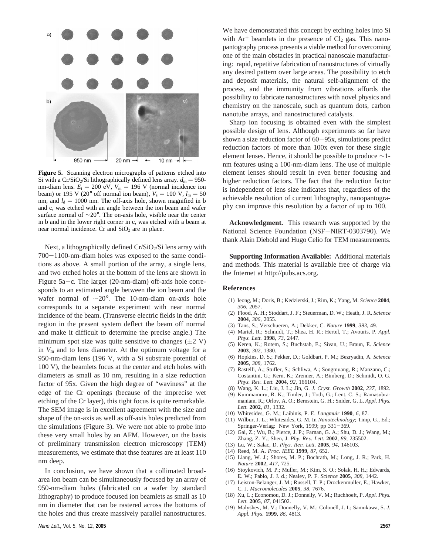

**Figure 5.** Scanning electron micrographs of patterns etched into Si with a Cr/SiO<sub>2</sub>/Si lithographically defined lens array.  $d_m = 950$ nm-diam lens.  $E_i = 200$  eV,  $V_m = 196$  V (normal incidence ion beam) or 195 V (20 $^{\circ}$  off normal ion beam),  $V_s = 100$  V,  $l_m = 50$ nm, and  $l_d$  = 1000 nm. The off-axis hole, shown magnified in b and c, was etched with an angle between the ion beam and wafer surface normal of ∼20°. The on-axis hole, visible near the center in b and in the lower right corner in c, was etched with a beam at near normal incidence. Cr and  $SiO<sub>2</sub>$  are in place.

Next, a lithographically defined  $Cr/SiO<sub>2</sub>/Si$  lens array with  $700-1100$ -nm-diam holes was exposed to the same conditions as above. A small portion of the array, a single lens, and two etched holes at the bottom of the lens are shown in Figure  $5a-c$ . The larger (20-nm-diam) of f-axis hole corresponds to an estimated angle between the ion beam and the wafer normal of ∼20°. The 10-nm-diam on-axis hole corresponds to a separate experiment with near normal incidence of the beam. (Transverse electric fields in the drift region in the present system deflect the beam off normal and make it difficult to determine the precise angle.) The minimum spot size was quite sensitive to changes  $(\pm 2 \text{ V})$ in  $V_m$  and to lens diameter. At the optimum voltage for a 950-nm-diam lens (196 V, with a Si substrate potential of 100 V), the beamlets focus at the center and etch holes with diameters as small as 10 nm, resulting in a size reduction factor of 95x. Given the high degree of "waviness" at the edge of the Cr openings (because of the imprecise wet etching of the Cr layer), this tight focus is quite remarkable. The SEM image is in excellent agreement with the size and shape of the on-axis as well as off-axis holes predicted from the simulations (Figure 3). We were not able to probe into these very small holes by an AFM. However, on the basis of preliminary transmission electron microscopy (TEM) measurements, we estimate that thse features are at least 110 nm deep.

In conclusion, we have shown that a collimated broadarea ion beam can be simultaneously focused by an array of 950-nm-diam holes (fabricated on a wafer by standard lithography) to produce focused ion beamlets as small as 10 nm in diameter that can be rastered across the bottoms of the holes and thus create massively parallel nanostructures.

We have demonstrated this concept by etching holes into Si with  $Ar^+$  beamlets in the presence of  $Cl_2$  gas. This nanopantography process presents a viable method for overcoming one of the main obstacles in practical nanoscale manufacturing: rapid, repetitive fabrication of nanostructures of virtually any desired pattern over large areas. The possibility to etch and deposit materials, the natural self-alignment of the process, and the immunity from vibrations affords the possibility to fabricate nanostructures with novel physics and chemistry on the nanoscale, such as quantum dots, carbon nanotube arrays, and nanostructured catalysts.

Sharp ion focusing is obtained even with the simplest possible design of lens. Although experiments so far have shown a size reduction factor of  $60-95x$ , simulations predict reduction factors of more than 100x even for these single element lenses. Hence, it should be possible to produce ∼1 nm features using a 100-nm-diam lens. The use of multiple element lenses should result in even better focusing and higher reduction factors. The fact that the reduction factor is independent of lens size indicates that, regardless of the achievable resolution of current lithography, nanopantography can improve this resolution by a factor of up to 100.

**Acknowledgment.** This research was supported by the National Science Foundation (NSF-NIRT-0303790). We thank Alain Diebold and Hugo Celio for TEM measurements.

**Supporting Information Available:** Additional materials and methods. This material is available free of charge via the Internet at http://pubs.acs.org.

## **References**

- (1) Ieong, M.; Doris, B.; Kedzierski, J.; Rim, K.; Yang, M. *Science* **2004**, *306*, 2057.
- (2) Flood, A. H.; Stoddart, J. F.; Steuerman, D. W.; Heath, J. R. *Science* **2004**, *306*, 2055.
- (3) Tans, S.; Verschueren, A.; Dekker, C. *Nature* **1999**, *393*, 49.
- (4) Martel, R.; Schmidt, T.; Shea, H. R.; Hertel, T.; Avouris, P. *Appl. Phys. Lett.* **1998**, *73*, 2447.
- (5) Keren, K.; Rotem, S.; Buchstab, E.; Sivan, U.; Braun, E. *Science* **2003**, *302*, 1380.
- (6) Hopkins, D. S.; Pekker, D.; Goldbart, P. M.; Bezryadin, A. *Science* **2005**, *308*, 1762.
- (7) Rastelli, A.; Stufler, S.; Schliwa, A.; Songmuang, R.; Manzano, C.; Costantini, G.; Kern, K.; Zrenner, A.; Bimberg, D.; Schmidt, O. G. *Phys. Re*V*. Lett.* **<sup>2004</sup>**, *<sup>92</sup>*, 166104.
- (8) Wang, K. L.; Liu, J. L.; Jin, G. *J. Cryst. Growth* **2002**, *237*, 1892.
- (9) Kummamuru, R. K.; Timler, J.; Toth, G.; Lent, C. S.; Ramasubramaniam, R.; Orlov, A. O.; Bernstein, G. H.; Snider, G. L. *Appl. Phys. Lett.* **2002**, *81*, 1332.
- (10) Whitesides, G. M.; Laibinis, P. E. *Langmuir* **1990**, *6*, 87.
- (11) Wilbur, J. L.; Whitesides, G. M. In *Nanotechnology*; Timp, G., Ed.; Springer-Verlag: New York, 1999; pp 331-369.
- (12) Gai, Z.; Wu, B.; Pierce, J. P.; Farnan, G. A.; Shu, D. J.; Wang, M.; Zhang, Z. Y.; Shen, J. *Phy. Re*V*. Lett.* **<sup>2002</sup>**, *<sup>89</sup>*, 235502.
- (13) Lu, W.; Salac, D. *Phys. Re*V*. Lett.* **<sup>2005</sup>**, *<sup>94</sup>*, 146103.
- (14) Reed, M. A. *Proc. IEEE* **1999**, *87*, 652.
- (15) Liang, W. J.; Shores, M. P.; Bochrath, M.; Long, J. R.; Park, H. *Nature* **2002**, *417*, 725.
- (16) Stoykovich, M. P.; Muller, M.; Kim, S. O.; Solak, H. H.; Edwards, E. W.; Pablo, J. J. d.; Nealey, P. F. *Science* **2005**, *308*, 1442.
- (17) Leiston-Belanger, J. M.; Russell, T. P.; Drockenmuller, E.; Hawker, C. J. *Macromolecules* **2005**, *38*, 7676.
- (18) Xu, L.; Economou, D. J.; Donnelly, V. M.; Ruchhoeft, P. *Appl. Phys. Lett.* **2005**, *87*, 041502.
- (19) Malyshev, M. V.; Donnelly, V. M.; Colonell, J. I.; Samukawa, S. *J. Appl. Phys.* **1999**, *86*, 4813.